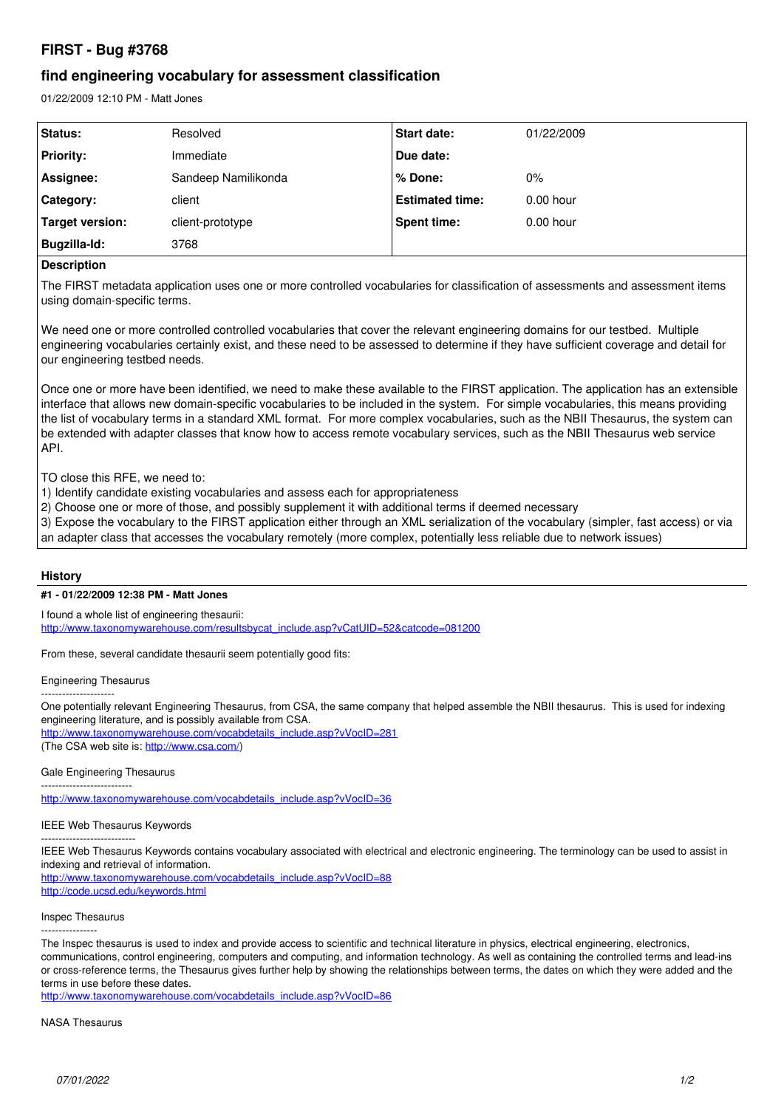# **FIRST - Bug #3768**

## **find engineering vocabulary for assessment classification**

01/22/2009 12:10 PM - Matt Jones

| <b>Status:</b>   | Resolved            | <b>Start date:</b>     | 01/22/2009  |
|------------------|---------------------|------------------------|-------------|
| <b>Priority:</b> | Immediate           | Due date:              |             |
| Assignee:        | Sandeep Namilikonda | % Done:                | 0%          |
| Category:        | client              | <b>Estimated time:</b> | $0.00$ hour |
| Target version:  | client-prototype    | Spent time:            | $0.00$ hour |
| Bugzilla-Id:     | 3768                |                        |             |

## **Description**

The FIRST metadata application uses one or more controlled vocabularies for classification of assessments and assessment items using domain-specific terms.

We need one or more controlled controlled vocabularies that cover the relevant engineering domains for our testbed. Multiple engineering vocabularies certainly exist, and these need to be assessed to determine if they have sufficient coverage and detail for our engineering testbed needs.

Once one or more have been identified, we need to make these available to the FIRST application. The application has an extensible interface that allows new domain-specific vocabularies to be included in the system. For simple vocabularies, this means providing the list of vocabulary terms in a standard XML format. For more complex vocabularies, such as the NBII Thesaurus, the system can be extended with adapter classes that know how to access remote vocabulary services, such as the NBII Thesaurus web service API.

TO close this RFE, we need to:

- 1) Identify candidate existing vocabularies and assess each for appropriateness
- 2) Choose one or more of those, and possibly supplement it with additional terms if deemed necessary
- 3) Expose the vocabulary to the FIRST application either through an XML serialization of the vocabulary (simpler, fast access) or via an adapter class that accesses the vocabulary remotely (more complex, potentially less reliable due to network issues)

### **History**

#### **#1 - 01/22/2009 12:38 PM - Matt Jones**

I found a whole list of engineering thesaurii: [http://www.taxonomywarehouse.com/resultsbycat\\_include.asp?vCatUID=52&catcode=081200](http://www.taxonomywarehouse.com/resultsbycat_include.asp?vCatUID=52&catcode=081200)

From these, several candidate thesaurii seem potentially good fits:

Engineering Thesaurus

--------------------- One potentially relevant Engineering Thesaurus, from CSA, the same company that helped assemble the NBII thesaurus. This is used for indexing engineering literature, and is possibly available from CSA.

[http://www.taxonomywarehouse.com/vocabdetails\\_include.asp?vVocID=281](http://www.taxonomywarehouse.com/vocabdetails_include.asp?vVocID=281) (The CSA web site is: [http://www.csa.com/\)](http://www.csa.com/)

#### Gale Engineering Thesaurus

--------------------------

[http://www.taxonomywarehouse.com/vocabdetails\\_include.asp?vVocID=36](http://www.taxonomywarehouse.com/vocabdetails_include.asp?vVocID=36)

### IEEE Web Thesaurus Keywords

---------------------------

IEEE Web Thesaurus Keywords contains vocabulary associated with electrical and electronic engineering. The terminology can be used to assist in indexing and retrieval of information.

[http://www.taxonomywarehouse.com/vocabdetails\\_include.asp?vVocID=88](http://www.taxonomywarehouse.com/vocabdetails_include.asp?vVocID=88) <http://code.ucsd.edu/keywords.html>

#### Inspec Thesaurus

----------------

The Inspec thesaurus is used to index and provide access to scientific and technical literature in physics, electrical engineering, electronics, communications, control engineering, computers and computing, and information technology. As well as containing the controlled terms and lead-ins or cross-reference terms, the Thesaurus gives further help by showing the relationships between terms, the dates on which they were added and the terms in use before these dates.

[http://www.taxonomywarehouse.com/vocabdetails\\_include.asp?vVocID=86](http://www.taxonomywarehouse.com/vocabdetails_include.asp?vVocID=86)

#### NASA Thesaurus